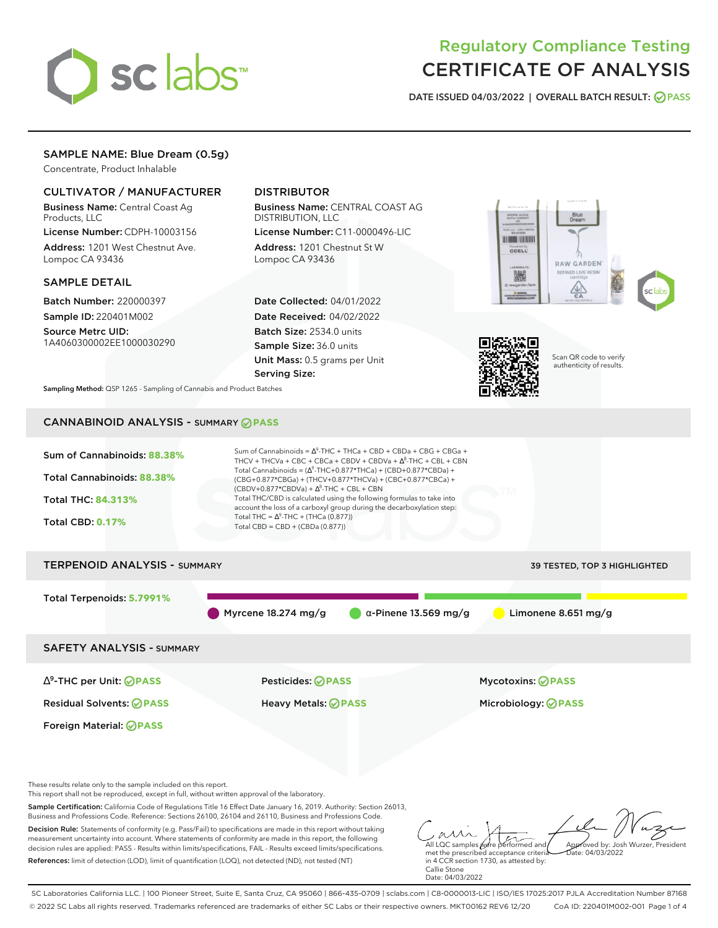

# Regulatory Compliance Testing CERTIFICATE OF ANALYSIS

**DATE ISSUED 04/03/2022 | OVERALL BATCH RESULT: PASS**

## SAMPLE NAME: Blue Dream (0.5g)

Concentrate, Product Inhalable

## CULTIVATOR / MANUFACTURER

Business Name: Central Coast Ag Products, LLC

License Number: CDPH-10003156 Address: 1201 West Chestnut Ave. Lompoc CA 93436

#### SAMPLE DETAIL

Batch Number: 220000397 Sample ID: 220401M002

Source Metrc UID: 1A4060300002EE1000030290

## DISTRIBUTOR

Business Name: CENTRAL COAST AG DISTRIBUTION, LLC

License Number: C11-0000496-LIC Address: 1201 Chestnut St W Lompoc CA 93436

Date Collected: 04/01/2022 Date Received: 04/02/2022 Batch Size: 2534.0 units Sample Size: 36.0 units Unit Mass: 0.5 grams per Unit Serving Size:





Scan QR code to verify authenticity of results.

**Sampling Method:** QSP 1265 - Sampling of Cannabis and Product Batches

## CANNABINOID ANALYSIS - SUMMARY **PASS**



SC Laboratories California LLC. | 100 Pioneer Street, Suite E, Santa Cruz, CA 95060 | 866-435-0709 | sclabs.com | C8-0000013-LIC | ISO/IES 17025:2017 PJLA Accreditation Number 87168 © 2022 SC Labs all rights reserved. Trademarks referenced are trademarks of either SC Labs or their respective owners. MKT00162 REV6 12/20 CoA ID: 220401M002-001 Page 1 of 4

Date: 04/03/2022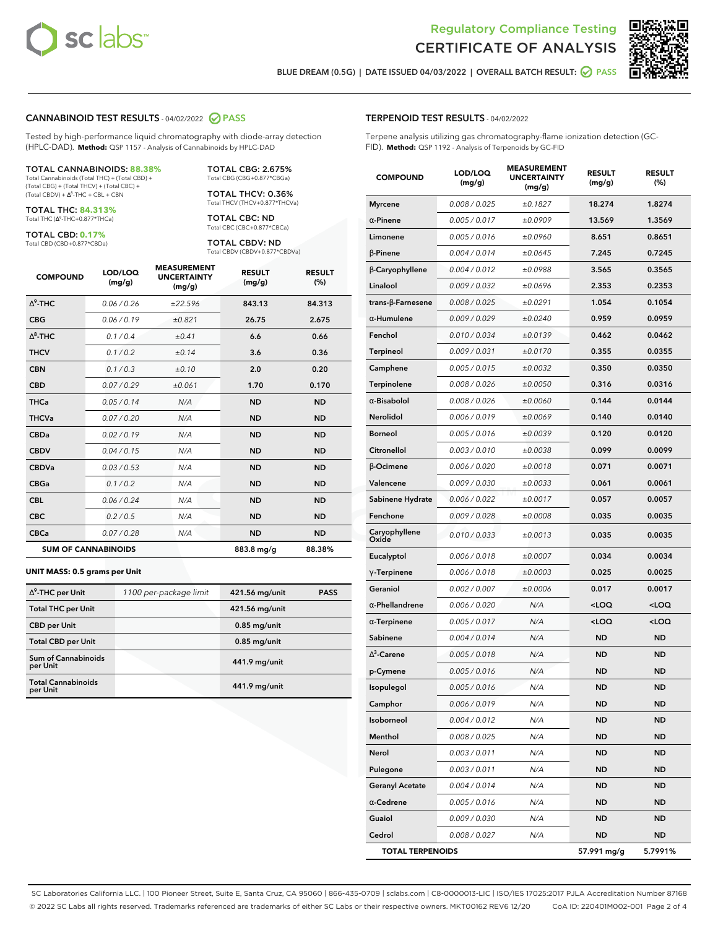



**BLUE DREAM (0.5G) | DATE ISSUED 04/03/2022 | OVERALL BATCH RESULT: PASS**

#### **CANNABINOID TEST RESULTS** - 04/02/2022 **PASS**

Tested by high-performance liquid chromatography with diode-array detection (HPLC-DAD). **Method:** QSP 1157 - Analysis of Cannabinoids by HPLC-DAD

#### TOTAL CANNABINOIDS: **88.38%**

Total Cannabinoids (Total THC) + (Total CBD) + (Total CBG) + (Total THCV) + (Total CBC) +  $(Total CBDV) +  $\Delta^8$ -THC + CBL + CBN$ 

TOTAL THC: **84.313%** Total THC (∆<sup>9</sup>-THC+0.877\*THCa)

TOTAL CBD: **0.17%**

Total CBD (CBD+0.877\*CBDa)

TOTAL CBG: 2.675% Total CBG (CBG+0.877\*CBGa)

TOTAL THCV: 0.36% Total THCV (THCV+0.877\*THCVa)

TOTAL CBC: ND Total CBC (CBC+0.877\*CBCa)

TOTAL CBDV: ND Total CBDV (CBDV+0.877\*CBDVa)

| <b>COMPOUND</b>            | LOD/LOQ<br>(mg/g) | <b>MEASUREMENT</b><br><b>UNCERTAINTY</b><br>(mg/g) | <b>RESULT</b><br>(mg/g) | <b>RESULT</b><br>(%) |
|----------------------------|-------------------|----------------------------------------------------|-------------------------|----------------------|
| $\wedge^9$ -THC            | 0.06 / 0.26       | ±22.596                                            | 843.13                  | 84.313               |
| <b>CBG</b>                 | 0.06/0.19         | ±0.821                                             | 26.75                   | 2.675                |
| $\wedge^8$ -THC            | 0.1/0.4           | ±0.41                                              | 6.6                     | 0.66                 |
| <b>THCV</b>                | 0.1/0.2           | ±0.14                                              | 3.6                     | 0.36                 |
| <b>CBN</b>                 | 0.1 / 0.3         | ±0.10                                              | 2.0                     | 0.20                 |
| <b>CBD</b>                 | 0.07/0.29         | ±0.061                                             | 1.70                    | 0.170                |
| <b>THCa</b>                | 0.05/0.14         | N/A                                                | <b>ND</b>               | <b>ND</b>            |
| <b>THCVa</b>               | 0.07/0.20         | N/A                                                | <b>ND</b>               | <b>ND</b>            |
| <b>CBDa</b>                | 0.02/0.19         | N/A                                                | <b>ND</b>               | <b>ND</b>            |
| <b>CBDV</b>                | 0.04 / 0.15       | N/A                                                | <b>ND</b>               | <b>ND</b>            |
| <b>CBDVa</b>               | 0.03/0.53         | N/A                                                | <b>ND</b>               | <b>ND</b>            |
| <b>CBGa</b>                | 0.1 / 0.2         | N/A                                                | <b>ND</b>               | <b>ND</b>            |
| <b>CBL</b>                 | 0.06 / 0.24       | N/A                                                | <b>ND</b>               | <b>ND</b>            |
| <b>CBC</b>                 | 0.2 / 0.5         | N/A                                                | <b>ND</b>               | <b>ND</b>            |
| <b>CBCa</b>                | 0.07 / 0.28       | N/A                                                | <b>ND</b>               | <b>ND</b>            |
| <b>SUM OF CANNABINOIDS</b> |                   |                                                    | 883.8 mg/g              | 88.38%               |

#### **UNIT MASS: 0.5 grams per Unit**

| $\Delta^9$ -THC per Unit               | 1100 per-package limit | 421.56 mg/unit | <b>PASS</b> |
|----------------------------------------|------------------------|----------------|-------------|
| <b>Total THC per Unit</b>              |                        | 421.56 mg/unit |             |
| <b>CBD</b> per Unit                    |                        | $0.85$ mg/unit |             |
| <b>Total CBD per Unit</b>              |                        | $0.85$ mg/unit |             |
| <b>Sum of Cannabinoids</b><br>per Unit |                        | 441.9 mg/unit  |             |
| <b>Total Cannabinoids</b><br>per Unit  |                        | 441.9 mg/unit  |             |

| <b>COMPOUND</b>          | LOD/LOQ<br>(mg/g) | <b>MEASUREMENT</b><br><b>UNCERTAINTY</b><br>(mg/g) | <b>RESULT</b><br>(mg/g)                          | <b>RESULT</b><br>$(\%)$ |
|--------------------------|-------------------|----------------------------------------------------|--------------------------------------------------|-------------------------|
| <b>Myrcene</b>           | 0.008 / 0.025     | ±0.1827                                            | 18.274                                           | 1.8274                  |
| $\alpha$ -Pinene         | 0.005 / 0.017     | ±0.0909                                            | 13.569                                           | 1.3569                  |
| Limonene                 | 0.005 / 0.016     | ±0.0960                                            | 8.651                                            | 0.8651                  |
| $\beta$ -Pinene          | 0.004 / 0.014     | ±0.0645                                            | 7.245                                            | 0.7245                  |
| β-Caryophyllene          | 0.004 / 0.012     | ±0.0988                                            | 3.565                                            | 0.3565                  |
| Linalool                 | 0.009 / 0.032     | ±0.0696                                            | 2.353                                            | 0.2353                  |
| $trans-\beta$ -Farnesene | 0.008 / 0.025     | ±0.0291                                            | 1.054                                            | 0.1054                  |
| α-Humulene               | 0.009 / 0.029     | ±0.0240                                            | 0.959                                            | 0.0959                  |
| Fenchol                  | 0.010 / 0.034     | ±0.0139                                            | 0.462                                            | 0.0462                  |
| <b>Terpineol</b>         | 0.009 / 0.031     | ±0.0170                                            | 0.355                                            | 0.0355                  |
| Camphene                 | 0.005 / 0.015     | ±0.0032                                            | 0.350                                            | 0.0350                  |
| Terpinolene              | 0.008 / 0.026     | ±0.0050                                            | 0.316                                            | 0.0316                  |
| $\alpha$ -Bisabolol      | 0.008 / 0.026     | ±0.0060                                            | 0.144                                            | 0.0144                  |
| Nerolidol                | 0.006 / 0.019     | ±0.0069                                            | 0.140                                            | 0.0140                  |
| <b>Borneol</b>           | 0.005 / 0.016     | ±0.0039                                            | 0.120                                            | 0.0120                  |
| Citronellol              | 0.003 / 0.010     | ±0.0038                                            | 0.099                                            | 0.0099                  |
| <b>B-Ocimene</b>         | 0.006 / 0.020     | ±0.0018                                            | 0.071                                            | 0.0071                  |
| Valencene                | 0.009 / 0.030     | ±0.0033                                            | 0.061                                            | 0.0061                  |
| Sabinene Hydrate         | 0.006 / 0.022     | ±0.0017                                            | 0.057                                            | 0.0057                  |
| Fenchone                 | 0.009 / 0.028     | ±0.0008                                            | 0.035                                            | 0.0035                  |
| Caryophyllene<br>Oxide   | 0.010 / 0.033     | ±0.0013                                            | 0.035                                            | 0.0035                  |
| Eucalyptol               | 0.006 / 0.018     | ±0.0007                                            | 0.034                                            | 0.0034                  |
| $\gamma$ -Terpinene      | 0.006 / 0.018     | ±0.0003                                            | 0.025                                            | 0.0025                  |
| Geraniol                 | 0.002 / 0.007     | ±0.0006                                            | 0.017                                            | 0.0017                  |
| $\alpha$ -Phellandrene   | 0.006 / 0.020     | N/A                                                | <loq< th=""><th><math>&lt;</math>LOQ</th></loq<> | $<$ LOQ                 |
| $\alpha$ -Terpinene      | 0.005 / 0.017     | N/A                                                | <loq< th=""><th><loq< th=""></loq<></th></loq<>  | <loq< th=""></loq<>     |
| Sabinene                 | 0.004 / 0.014     | N/A                                                | <b>ND</b>                                        | ND                      |
| $\Delta^3$ -Carene       | 0.005 / 0.018     | N/A                                                | <b>ND</b>                                        | <b>ND</b>               |
| p-Cymene                 | 0.005 / 0.016     | N/A                                                | <b>ND</b>                                        | ND                      |
| Isopulegol               | 0.005 / 0.016     | N/A                                                | <b>ND</b>                                        | <b>ND</b>               |
| Camphor                  | 0.006 / 0.019     | N/A                                                | ND                                               | ND                      |
| Isoborneol               | 0.004 / 0.012     | N/A                                                | ND                                               | ND                      |
| Menthol                  | 0.008 / 0.025     | N/A                                                | ND                                               | ND                      |
| Nerol                    | 0.003 / 0.011     | N/A                                                | ND                                               | <b>ND</b>               |
| Pulegone                 | 0.003 / 0.011     | N/A                                                | <b>ND</b>                                        | ND                      |
| <b>Geranyl Acetate</b>   | 0.004 / 0.014     | N/A                                                | ND                                               | ND                      |
| $\alpha$ -Cedrene        | 0.005 / 0.016     | N/A                                                | ND                                               | <b>ND</b>               |
| Guaiol                   | 0.009 / 0.030     | N/A                                                | <b>ND</b>                                        | ND                      |
| Cedrol                   | 0.008 / 0.027     | N/A                                                | ND                                               | ND                      |
| <b>TOTAL TERPENOIDS</b>  |                   |                                                    | 57.991 mg/g                                      | 5.7991%                 |

SC Laboratories California LLC. | 100 Pioneer Street, Suite E, Santa Cruz, CA 95060 | 866-435-0709 | sclabs.com | C8-0000013-LIC | ISO/IES 17025:2017 PJLA Accreditation Number 87168 © 2022 SC Labs all rights reserved. Trademarks referenced are trademarks of either SC Labs or their respective owners. MKT00162 REV6 12/20 CoA ID: 220401M002-001 Page 2 of 4

## **TERPENOID TEST RESULTS** - 04/02/2022

Terpene analysis utilizing gas chromatography-flame ionization detection (GC-FID). **Method:** QSP 1192 - Analysis of Terpenoids by GC-FID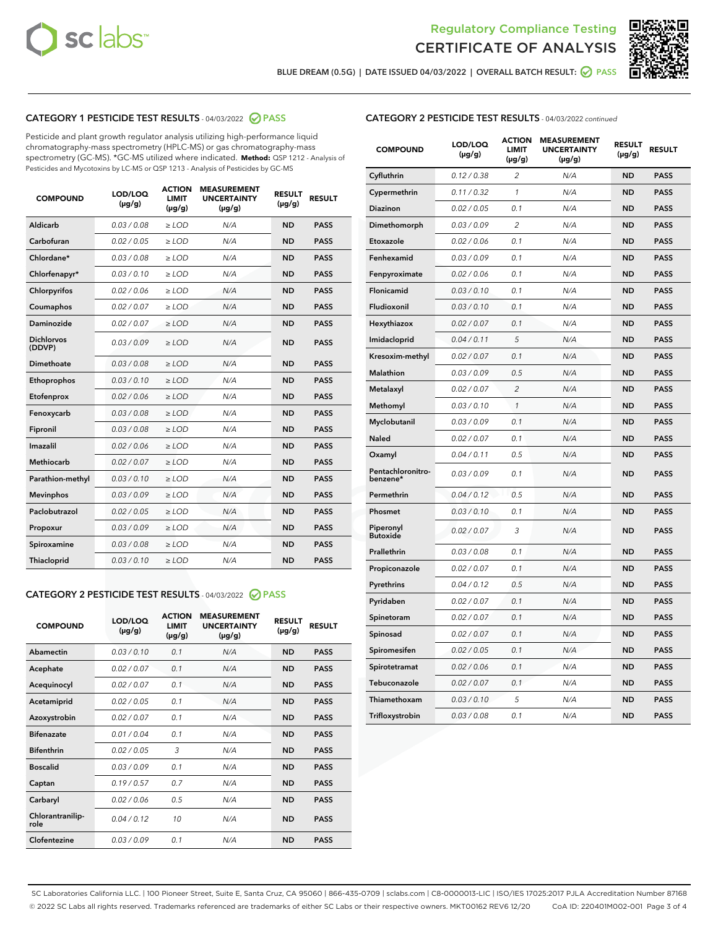



**BLUE DREAM (0.5G) | DATE ISSUED 04/03/2022 | OVERALL BATCH RESULT: PASS**

## **CATEGORY 1 PESTICIDE TEST RESULTS** - 04/03/2022 **PASS**

Pesticide and plant growth regulator analysis utilizing high-performance liquid chromatography-mass spectrometry (HPLC-MS) or gas chromatography-mass spectrometry (GC-MS). \*GC-MS utilized where indicated. **Method:** QSP 1212 - Analysis of Pesticides and Mycotoxins by LC-MS or QSP 1213 - Analysis of Pesticides by GC-MS

| 0.03 / 0.08<br><b>ND</b><br>Aldicarb<br>$\ge$ LOD<br>N/A<br><b>PASS</b><br>Carbofuran<br>0.02 / 0.05<br><b>ND</b><br><b>PASS</b><br>$\ge$ LOD<br>N/A<br>Chlordane*<br>0.03 / 0.08<br>N/A<br><b>ND</b><br><b>PASS</b><br>$\ge$ LOD<br>Chlorfenapyr*<br>0.03/0.10<br>N/A<br><b>ND</b><br><b>PASS</b><br>$>$ LOD<br>0.02/0.06<br><b>ND</b><br>Chlorpyrifos<br>$>$ LOD<br>N/A<br><b>PASS</b><br>0.02 / 0.07<br>N/A<br><b>ND</b><br><b>PASS</b><br>Coumaphos<br>$\ge$ LOD<br>Daminozide<br>0.02 / 0.07<br>N/A<br><b>ND</b><br><b>PASS</b><br>$\ge$ LOD<br><b>Dichlorvos</b><br>0.03/0.09<br>N/A<br><b>ND</b><br><b>PASS</b><br>$\ge$ LOD<br>(DDVP)<br>Dimethoate<br>0.03/0.08<br>N/A<br><b>ND</b><br><b>PASS</b><br>$>$ LOD<br>Ethoprophos<br>0.03/0.10<br>$\ge$ LOD<br>N/A<br><b>ND</b><br><b>PASS</b><br>Etofenprox<br>0.02 / 0.06<br>$>$ LOD<br>N/A<br><b>ND</b><br><b>PASS</b><br>0.03/0.08<br>N/A<br><b>ND</b><br><b>PASS</b><br>$>$ LOD<br>Fenoxycarb<br>0.03 / 0.08<br>$\ge$ LOD<br>N/A<br><b>ND</b><br><b>PASS</b><br>Fipronil<br>Imazalil<br>0.02/0.06<br>$>$ LOD<br>N/A<br><b>ND</b><br><b>PASS</b><br><b>Methiocarb</b><br>0.02 / 0.07<br><b>ND</b><br><b>PASS</b><br>$\ge$ LOD<br>N/A<br>Parathion-methyl<br>0.03/0.10<br>N/A<br><b>ND</b><br><b>PASS</b><br>$\ge$ LOD<br>0.03/0.09<br>N/A<br><b>ND</b><br><b>PASS</b><br><b>Mevinphos</b><br>$>$ LOD<br>Paclobutrazol<br>0.02 / 0.05<br>N/A<br><b>ND</b><br><b>PASS</b><br>$\ge$ LOD<br>0.03/0.09<br>$>$ LOD<br>N/A<br><b>ND</b><br><b>PASS</b><br>Propoxur<br>0.03 / 0.08<br>$\ge$ LOD<br>N/A<br><b>ND</b><br><b>PASS</b><br>Spiroxamine<br>0.03/0.10<br>N/A<br><b>ND</b><br><b>PASS</b><br>Thiacloprid<br>$\ge$ LOD | <b>COMPOUND</b> | LOD/LOQ<br>$(\mu g/g)$ | <b>ACTION</b><br>LIMIT<br>$(\mu g/g)$ | <b>MEASUREMENT</b><br><b>UNCERTAINTY</b><br>$(\mu g/g)$ | <b>RESULT</b><br>$(\mu g/g)$ | <b>RESULT</b> |
|-------------------------------------------------------------------------------------------------------------------------------------------------------------------------------------------------------------------------------------------------------------------------------------------------------------------------------------------------------------------------------------------------------------------------------------------------------------------------------------------------------------------------------------------------------------------------------------------------------------------------------------------------------------------------------------------------------------------------------------------------------------------------------------------------------------------------------------------------------------------------------------------------------------------------------------------------------------------------------------------------------------------------------------------------------------------------------------------------------------------------------------------------------------------------------------------------------------------------------------------------------------------------------------------------------------------------------------------------------------------------------------------------------------------------------------------------------------------------------------------------------------------------------------------------------------------------------------------------------------------------------------------------------------------------------|-----------------|------------------------|---------------------------------------|---------------------------------------------------------|------------------------------|---------------|
|                                                                                                                                                                                                                                                                                                                                                                                                                                                                                                                                                                                                                                                                                                                                                                                                                                                                                                                                                                                                                                                                                                                                                                                                                                                                                                                                                                                                                                                                                                                                                                                                                                                                               |                 |                        |                                       |                                                         |                              |               |
|                                                                                                                                                                                                                                                                                                                                                                                                                                                                                                                                                                                                                                                                                                                                                                                                                                                                                                                                                                                                                                                                                                                                                                                                                                                                                                                                                                                                                                                                                                                                                                                                                                                                               |                 |                        |                                       |                                                         |                              |               |
|                                                                                                                                                                                                                                                                                                                                                                                                                                                                                                                                                                                                                                                                                                                                                                                                                                                                                                                                                                                                                                                                                                                                                                                                                                                                                                                                                                                                                                                                                                                                                                                                                                                                               |                 |                        |                                       |                                                         |                              |               |
|                                                                                                                                                                                                                                                                                                                                                                                                                                                                                                                                                                                                                                                                                                                                                                                                                                                                                                                                                                                                                                                                                                                                                                                                                                                                                                                                                                                                                                                                                                                                                                                                                                                                               |                 |                        |                                       |                                                         |                              |               |
|                                                                                                                                                                                                                                                                                                                                                                                                                                                                                                                                                                                                                                                                                                                                                                                                                                                                                                                                                                                                                                                                                                                                                                                                                                                                                                                                                                                                                                                                                                                                                                                                                                                                               |                 |                        |                                       |                                                         |                              |               |
|                                                                                                                                                                                                                                                                                                                                                                                                                                                                                                                                                                                                                                                                                                                                                                                                                                                                                                                                                                                                                                                                                                                                                                                                                                                                                                                                                                                                                                                                                                                                                                                                                                                                               |                 |                        |                                       |                                                         |                              |               |
|                                                                                                                                                                                                                                                                                                                                                                                                                                                                                                                                                                                                                                                                                                                                                                                                                                                                                                                                                                                                                                                                                                                                                                                                                                                                                                                                                                                                                                                                                                                                                                                                                                                                               |                 |                        |                                       |                                                         |                              |               |
|                                                                                                                                                                                                                                                                                                                                                                                                                                                                                                                                                                                                                                                                                                                                                                                                                                                                                                                                                                                                                                                                                                                                                                                                                                                                                                                                                                                                                                                                                                                                                                                                                                                                               |                 |                        |                                       |                                                         |                              |               |
|                                                                                                                                                                                                                                                                                                                                                                                                                                                                                                                                                                                                                                                                                                                                                                                                                                                                                                                                                                                                                                                                                                                                                                                                                                                                                                                                                                                                                                                                                                                                                                                                                                                                               |                 |                        |                                       |                                                         |                              |               |
|                                                                                                                                                                                                                                                                                                                                                                                                                                                                                                                                                                                                                                                                                                                                                                                                                                                                                                                                                                                                                                                                                                                                                                                                                                                                                                                                                                                                                                                                                                                                                                                                                                                                               |                 |                        |                                       |                                                         |                              |               |
|                                                                                                                                                                                                                                                                                                                                                                                                                                                                                                                                                                                                                                                                                                                                                                                                                                                                                                                                                                                                                                                                                                                                                                                                                                                                                                                                                                                                                                                                                                                                                                                                                                                                               |                 |                        |                                       |                                                         |                              |               |
|                                                                                                                                                                                                                                                                                                                                                                                                                                                                                                                                                                                                                                                                                                                                                                                                                                                                                                                                                                                                                                                                                                                                                                                                                                                                                                                                                                                                                                                                                                                                                                                                                                                                               |                 |                        |                                       |                                                         |                              |               |
|                                                                                                                                                                                                                                                                                                                                                                                                                                                                                                                                                                                                                                                                                                                                                                                                                                                                                                                                                                                                                                                                                                                                                                                                                                                                                                                                                                                                                                                                                                                                                                                                                                                                               |                 |                        |                                       |                                                         |                              |               |
|                                                                                                                                                                                                                                                                                                                                                                                                                                                                                                                                                                                                                                                                                                                                                                                                                                                                                                                                                                                                                                                                                                                                                                                                                                                                                                                                                                                                                                                                                                                                                                                                                                                                               |                 |                        |                                       |                                                         |                              |               |
|                                                                                                                                                                                                                                                                                                                                                                                                                                                                                                                                                                                                                                                                                                                                                                                                                                                                                                                                                                                                                                                                                                                                                                                                                                                                                                                                                                                                                                                                                                                                                                                                                                                                               |                 |                        |                                       |                                                         |                              |               |
|                                                                                                                                                                                                                                                                                                                                                                                                                                                                                                                                                                                                                                                                                                                                                                                                                                                                                                                                                                                                                                                                                                                                                                                                                                                                                                                                                                                                                                                                                                                                                                                                                                                                               |                 |                        |                                       |                                                         |                              |               |
|                                                                                                                                                                                                                                                                                                                                                                                                                                                                                                                                                                                                                                                                                                                                                                                                                                                                                                                                                                                                                                                                                                                                                                                                                                                                                                                                                                                                                                                                                                                                                                                                                                                                               |                 |                        |                                       |                                                         |                              |               |
|                                                                                                                                                                                                                                                                                                                                                                                                                                                                                                                                                                                                                                                                                                                                                                                                                                                                                                                                                                                                                                                                                                                                                                                                                                                                                                                                                                                                                                                                                                                                                                                                                                                                               |                 |                        |                                       |                                                         |                              |               |
|                                                                                                                                                                                                                                                                                                                                                                                                                                                                                                                                                                                                                                                                                                                                                                                                                                                                                                                                                                                                                                                                                                                                                                                                                                                                                                                                                                                                                                                                                                                                                                                                                                                                               |                 |                        |                                       |                                                         |                              |               |
|                                                                                                                                                                                                                                                                                                                                                                                                                                                                                                                                                                                                                                                                                                                                                                                                                                                                                                                                                                                                                                                                                                                                                                                                                                                                                                                                                                                                                                                                                                                                                                                                                                                                               |                 |                        |                                       |                                                         |                              |               |
|                                                                                                                                                                                                                                                                                                                                                                                                                                                                                                                                                                                                                                                                                                                                                                                                                                                                                                                                                                                                                                                                                                                                                                                                                                                                                                                                                                                                                                                                                                                                                                                                                                                                               |                 |                        |                                       |                                                         |                              |               |

## **CATEGORY 2 PESTICIDE TEST RESULTS** - 04/03/2022 **PASS**

| <b>COMPOUND</b>          | LOD/LOO<br>$(\mu g/g)$ | <b>ACTION</b><br><b>LIMIT</b><br>(µg/g) | <b>MEASUREMENT</b><br><b>UNCERTAINTY</b><br>$(\mu g/g)$ | <b>RESULT</b><br>$(\mu g/g)$ | <b>RESULT</b> |  |
|--------------------------|------------------------|-----------------------------------------|---------------------------------------------------------|------------------------------|---------------|--|
| Abamectin                | 0.03/0.10              | 0.1                                     | N/A                                                     | <b>ND</b>                    | <b>PASS</b>   |  |
| Acephate                 | 0.02/0.07              | 0.1                                     | N/A                                                     | <b>ND</b>                    | <b>PASS</b>   |  |
| Acequinocyl              | 0.02/0.07              | 0.1                                     | N/A                                                     | <b>ND</b>                    | <b>PASS</b>   |  |
| Acetamiprid              | 0.02/0.05              | 0.1                                     | N/A                                                     | <b>ND</b>                    | <b>PASS</b>   |  |
| Azoxystrobin             | 0.02/0.07              | 0.1                                     | N/A                                                     | <b>ND</b>                    | <b>PASS</b>   |  |
| <b>Bifenazate</b>        | 0.01/0.04              | 0.1                                     | N/A                                                     | <b>ND</b>                    | <b>PASS</b>   |  |
| <b>Bifenthrin</b>        | 0.02/0.05              | 3                                       | N/A                                                     | <b>ND</b>                    | <b>PASS</b>   |  |
| <b>Boscalid</b>          | 0.03/0.09              | 0.1                                     | N/A                                                     | <b>ND</b>                    | <b>PASS</b>   |  |
| Captan                   | 0.19/0.57              | 0.7                                     | N/A                                                     | <b>ND</b>                    | <b>PASS</b>   |  |
| Carbaryl                 | 0.02/0.06              | 0.5                                     | N/A                                                     | <b>ND</b>                    | <b>PASS</b>   |  |
| Chlorantranilip-<br>role | 0.04/0.12              | 10                                      | N/A                                                     | <b>ND</b>                    | <b>PASS</b>   |  |
| Clofentezine             | 0.03/0.09              | 0.1                                     | N/A                                                     | <b>ND</b>                    | <b>PASS</b>   |  |

## **CATEGORY 2 PESTICIDE TEST RESULTS** - 04/03/2022 continued

| <b>COMPOUND</b>               | LOD/LOQ<br>(µg/g) | <b>ACTION</b><br><b>LIMIT</b><br>$(\mu g/g)$ | <b>MEASUREMENT</b><br><b>UNCERTAINTY</b><br>$(\mu g/g)$ | <b>RESULT</b><br>(µg/g) | <b>RESULT</b> |
|-------------------------------|-------------------|----------------------------------------------|---------------------------------------------------------|-------------------------|---------------|
| Cyfluthrin                    | 0.12 / 0.38       | $\overline{c}$                               | N/A                                                     | <b>ND</b>               | <b>PASS</b>   |
| Cypermethrin                  | 0.11/0.32         | 1                                            | N/A                                                     | ND                      | <b>PASS</b>   |
| <b>Diazinon</b>               | 0.02 / 0.05       | 0.1                                          | N/A                                                     | ND                      | <b>PASS</b>   |
| Dimethomorph                  | 0.03 / 0.09       | 2                                            | N/A                                                     | ND                      | <b>PASS</b>   |
| Etoxazole                     | 0.02 / 0.06       | 0.1                                          | N/A                                                     | <b>ND</b>               | <b>PASS</b>   |
| Fenhexamid                    | 0.03 / 0.09       | 0.1                                          | N/A                                                     | <b>ND</b>               | <b>PASS</b>   |
| Fenpyroximate                 | 0.02 / 0.06       | 0.1                                          | N/A                                                     | ND                      | <b>PASS</b>   |
| Flonicamid                    | 0.03 / 0.10       | 0.1                                          | N/A                                                     | ND                      | <b>PASS</b>   |
| Fludioxonil                   | 0.03 / 0.10       | 0.1                                          | N/A                                                     | <b>ND</b>               | <b>PASS</b>   |
| Hexythiazox                   | 0.02 / 0.07       | 0.1                                          | N/A                                                     | ND                      | <b>PASS</b>   |
| Imidacloprid                  | 0.04 / 0.11       | 5                                            | N/A                                                     | ND                      | <b>PASS</b>   |
| Kresoxim-methyl               | 0.02 / 0.07       | 0.1                                          | N/A                                                     | <b>ND</b>               | <b>PASS</b>   |
| <b>Malathion</b>              | 0.03 / 0.09       | 0.5                                          | N/A                                                     | ND                      | <b>PASS</b>   |
| Metalaxyl                     | 0.02 / 0.07       | $\overline{c}$                               | N/A                                                     | ND                      | <b>PASS</b>   |
| Methomyl                      | 0.03 / 0.10       | 1                                            | N/A                                                     | <b>ND</b>               | <b>PASS</b>   |
| Myclobutanil                  | 0.03 / 0.09       | 0.1                                          | N/A                                                     | ND                      | <b>PASS</b>   |
| Naled                         | 0.02 / 0.07       | 0.1                                          | N/A                                                     | ND                      | <b>PASS</b>   |
| Oxamyl                        | 0.04 / 0.11       | 0.5                                          | N/A                                                     | ND                      | <b>PASS</b>   |
| Pentachloronitro-<br>benzene* | 0.03/0.09         | 0.1                                          | N/A                                                     | ND                      | <b>PASS</b>   |
| Permethrin                    | 0.04 / 0.12       | 0.5                                          | N/A                                                     | <b>ND</b>               | <b>PASS</b>   |
| Phosmet                       | 0.03 / 0.10       | 0.1                                          | N/A                                                     | <b>ND</b>               | <b>PASS</b>   |
| Piperonyl<br><b>Butoxide</b>  | 0.02 / 0.07       | 3                                            | N/A                                                     | ND                      | <b>PASS</b>   |
| Prallethrin                   | 0.03 / 0.08       | 0.1                                          | N/A                                                     | <b>ND</b>               | <b>PASS</b>   |
| Propiconazole                 | 0.02 / 0.07       | 0.1                                          | N/A                                                     | ND                      | <b>PASS</b>   |
| Pyrethrins                    | 0.04 / 0.12       | 0.5                                          | N/A                                                     | ND                      | <b>PASS</b>   |
| Pyridaben                     | 0.02 / 0.07       | 0.1                                          | N/A                                                     | ND                      | <b>PASS</b>   |
| Spinetoram                    | 0.02 / 0.07       | 0.1                                          | N/A                                                     | ND                      | <b>PASS</b>   |
| Spinosad                      | 0.02 / 0.07       | 0.1                                          | N/A                                                     | ND                      | <b>PASS</b>   |
| Spiromesifen                  | 0.02 / 0.05       | 0.1                                          | N/A                                                     | <b>ND</b>               | <b>PASS</b>   |
| Spirotetramat                 | 0.02 / 0.06       | 0.1                                          | N/A                                                     | ND                      | <b>PASS</b>   |
| Tebuconazole                  | 0.02 / 0.07       | 0.1                                          | N/A                                                     | ND                      | <b>PASS</b>   |
| Thiamethoxam                  | 0.03 / 0.10       | 5                                            | N/A                                                     | <b>ND</b>               | <b>PASS</b>   |
| Trifloxystrobin               | 0.03 / 0.08       | 0.1                                          | N/A                                                     | <b>ND</b>               | <b>PASS</b>   |

SC Laboratories California LLC. | 100 Pioneer Street, Suite E, Santa Cruz, CA 95060 | 866-435-0709 | sclabs.com | C8-0000013-LIC | ISO/IES 17025:2017 PJLA Accreditation Number 87168 © 2022 SC Labs all rights reserved. Trademarks referenced are trademarks of either SC Labs or their respective owners. MKT00162 REV6 12/20 CoA ID: 220401M002-001 Page 3 of 4